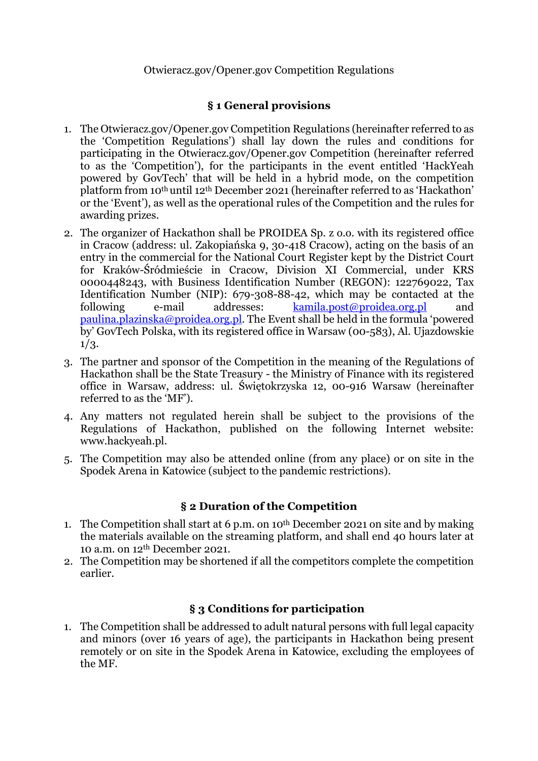### Otwieracz.gov/Opener.gov Competition Regulations

### **§ 1 General provisions**

- 1. The Otwieracz.gov/Opener.gov Competition Regulations (hereinafter referred to as the 'Competition Regulations') shall lay down the rules and conditions for participating in the Otwieracz.gov/Opener.gov Competition (hereinafter referred to as the 'Competition'), for the participants in the event entitled 'HackYeah powered by GovTech' that will be held in a hybrid mode, on the competition platform from 10th until 12th December 2021 (hereinafter referred to as 'Hackathon' or the 'Event'), as well as the operational rules of the Competition and the rules for awarding prizes.
- 2. The organizer of Hackathon shall be PROIDEA Sp. z o.o. with its registered office in Cracow (address: ul. Zakopiańska 9, 30-418 Cracow), acting on the basis of an entry in the commercial for the National Court Register kept by the District Court for Kraków-Śródmieście in Cracow, Division XI Commercial, under KRS 0000448243, with Business Identification Number (REGON): 122769022, Tax Identification Number (NIP): 679-308-88-42, which may be contacted at the following e-mail addresses: kamila.post@proidea.org.pl and paulina.plazinska@proidea.org.pl. The Event shall be held in the formula 'powered by' GovTech Polska, with its registered office in Warsaw (00-583), Al. Ujazdowskie 1/3.
- 3. The partner and sponsor of the Competition in the meaning of the Regulations of Hackathon shall be the State Treasury - the Ministry of Finance with its registered office in Warsaw, address: ul. Świętokrzyska 12, 00-916 Warsaw (hereinafter referred to as the 'MF').
- 4. Any matters not regulated herein shall be subject to the provisions of the Regulations of Hackathon, published on the following Internet website: www.hackyeah.pl.
- 5. The Competition may also be attended online (from any place) or on site in the Spodek Arena in Katowice (subject to the pandemic restrictions).

# **§ 2 Duration of the Competition**

- 1. The Competition shall start at 6 p.m. on 10th December 2021 on site and by making the materials available on the streaming platform, and shall end 40 hours later at 10 a.m. on 12th December 2021.
- 2. The Competition may be shortened if all the competitors complete the competition earlier.

### **§ 3 Conditions for participation**

1. The Competition shall be addressed to adult natural persons with full legal capacity and minors (over 16 years of age), the participants in Hackathon being present remotely or on site in the Spodek Arena in Katowice, excluding the employees of the MF.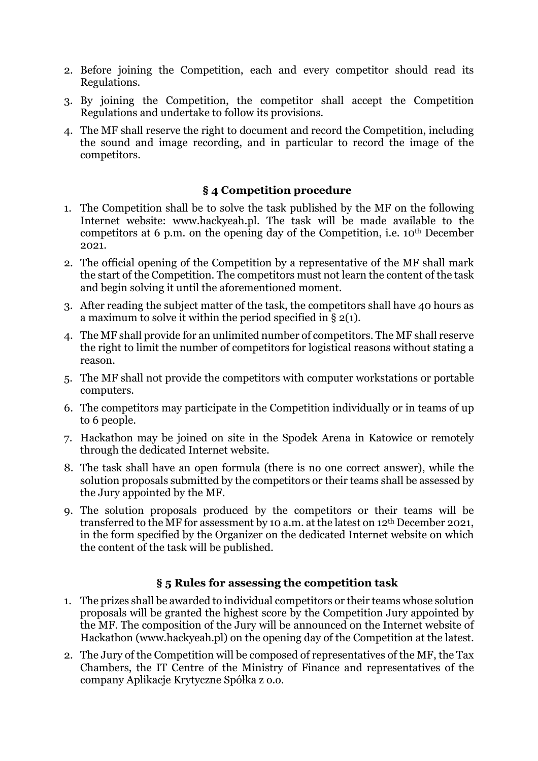- 2. Before joining the Competition, each and every competitor should read its Regulations.
- 3. By joining the Competition, the competitor shall accept the Competition Regulations and undertake to follow its provisions.
- 4. The MF shall reserve the right to document and record the Competition, including the sound and image recording, and in particular to record the image of the competitors.

# **§ 4 Competition procedure**

- 1. The Competition shall be to solve the task published by the MF on the following Internet website: www.hackyeah.pl. The task will be made available to the competitors at 6 p.m. on the opening day of the Competition, i.e. 10th December 2021.
- 2. The official opening of the Competition by a representative of the MF shall mark the start of the Competition. The competitors must not learn the content of the task and begin solving it until the aforementioned moment.
- 3. After reading the subject matter of the task, the competitors shall have 40 hours as a maximum to solve it within the period specified in § 2(1).
- 4. The MF shall provide for an unlimited number of competitors. The MF shall reserve the right to limit the number of competitors for logistical reasons without stating a reason.
- 5. The MF shall not provide the competitors with computer workstations or portable computers.
- 6. The competitors may participate in the Competition individually or in teams of up to 6 people.
- 7. Hackathon may be joined on site in the Spodek Arena in Katowice or remotely through the dedicated Internet website.
- 8. The task shall have an open formula (there is no one correct answer), while the solution proposals submitted by the competitors or their teams shall be assessed by the Jury appointed by the MF.
- 9. The solution proposals produced by the competitors or their teams will be transferred to the MF for assessment by 10 a.m. at the latest on 12th December 2021, in the form specified by the Organizer on the dedicated Internet website on which the content of the task will be published.

### **§ 5 Rules for assessing the competition task**

- 1. The prizes shall be awarded to individual competitors or their teams whose solution proposals will be granted the highest score by the Competition Jury appointed by the MF. The composition of the Jury will be announced on the Internet website of Hackathon (www.hackyeah.pl) on the opening day of the Competition at the latest.
- 2. The Jury of the Competition will be composed of representatives of the MF, the Tax Chambers, the IT Centre of the Ministry of Finance and representatives of the company Aplikacje Krytyczne Spółka z o.o.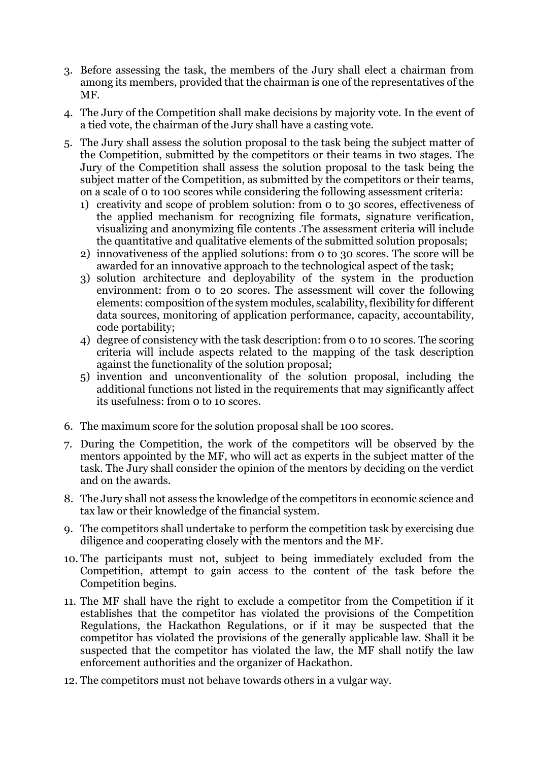- 3. Before assessing the task, the members of the Jury shall elect a chairman from among its members, provided that the chairman is one of the representatives of the MF.
- 4. The Jury of the Competition shall make decisions by majority vote. In the event of a tied vote, the chairman of the Jury shall have a casting vote.
- 5. The Jury shall assess the solution proposal to the task being the subject matter of the Competition, submitted by the competitors or their teams in two stages. The Jury of the Competition shall assess the solution proposal to the task being the subject matter of the Competition, as submitted by the competitors or their teams, on a scale of 0 to 100 scores while considering the following assessment criteria:
	- 1) creativity and scope of problem solution: from 0 to 30 scores, effectiveness of the applied mechanism for recognizing file formats, signature verification, visualizing and anonymizing file contents .The assessment criteria will include the quantitative and qualitative elements of the submitted solution proposals;
	- 2) innovativeness of the applied solutions: from 0 to 30 scores. The score will be awarded for an innovative approach to the technological aspect of the task;
	- 3) solution architecture and deployability of the system in the production environment: from 0 to 20 scores. The assessment will cover the following elements: composition of the system modules, scalability, flexibility for different data sources, monitoring of application performance, capacity, accountability, code portability;
	- 4) degree of consistency with the task description: from 0 to 10 scores. The scoring criteria will include aspects related to the mapping of the task description against the functionality of the solution proposal;
	- 5) invention and unconventionality of the solution proposal, including the additional functions not listed in the requirements that may significantly affect its usefulness: from 0 to 10 scores.
- 6. The maximum score for the solution proposal shall be 100 scores.
- 7. During the Competition, the work of the competitors will be observed by the mentors appointed by the MF, who will act as experts in the subject matter of the task. The Jury shall consider the opinion of the mentors by deciding on the verdict and on the awards.
- 8. The Jury shall not assess the knowledge of the competitors in economic science and tax law or their knowledge of the financial system.
- 9. The competitors shall undertake to perform the competition task by exercising due diligence and cooperating closely with the mentors and the MF.
- 10. The participants must not, subject to being immediately excluded from the Competition, attempt to gain access to the content of the task before the Competition begins.
- 11. The MF shall have the right to exclude a competitor from the Competition if it establishes that the competitor has violated the provisions of the Competition Regulations, the Hackathon Regulations, or if it may be suspected that the competitor has violated the provisions of the generally applicable law. Shall it be suspected that the competitor has violated the law, the MF shall notify the law enforcement authorities and the organizer of Hackathon.
- 12. The competitors must not behave towards others in a vulgar way.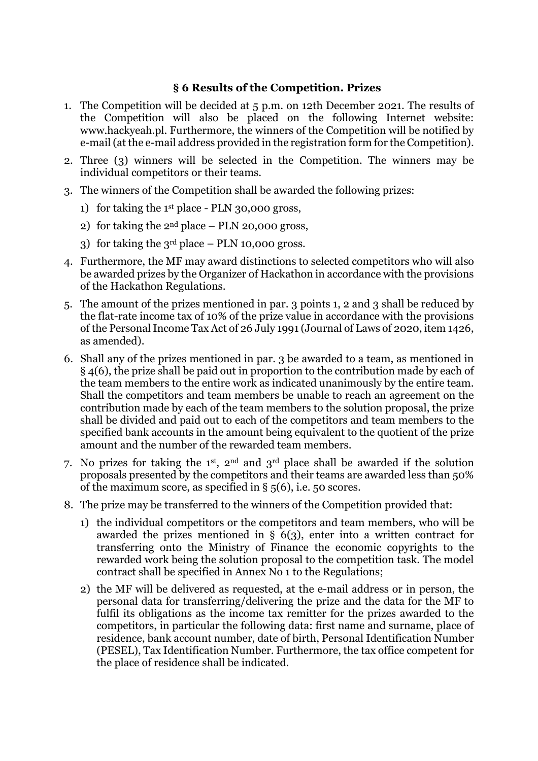### **§ 6 Results of the Competition. Prizes**

- 1. The Competition will be decided at 5 p.m. on 12th December 2021. The results of the Competition will also be placed on the following Internet website: www.hackyeah.pl. Furthermore, the winners of the Competition will be notified by e-mail (at the e-mail address provided in the registration form for the Competition).
- 2. Three (3) winners will be selected in the Competition. The winners may be individual competitors or their teams.
- 3. The winners of the Competition shall be awarded the following prizes:
	- 1) for taking the 1st place PLN 30,000 gross,
	- 2) for taking the  $2<sup>nd</sup>$  place PLN 20,000 gross,
	- 3) for taking the  $3<sup>rd</sup>$  place PLN 10,000 gross.
- 4. Furthermore, the MF may award distinctions to selected competitors who will also be awarded prizes by the Organizer of Hackathon in accordance with the provisions of the Hackathon Regulations.
- 5. The amount of the prizes mentioned in par. 3 points 1, 2 and 3 shall be reduced by the flat-rate income tax of 10% of the prize value in accordance with the provisions of the Personal Income Tax Act of 26 July 1991 (Journal of Laws of 2020, item 1426, as amended).
- 6. Shall any of the prizes mentioned in par. 3 be awarded to a team, as mentioned in § 4(6), the prize shall be paid out in proportion to the contribution made by each of the team members to the entire work as indicated unanimously by the entire team. Shall the competitors and team members be unable to reach an agreement on the contribution made by each of the team members to the solution proposal, the prize shall be divided and paid out to each of the competitors and team members to the specified bank accounts in the amount being equivalent to the quotient of the prize amount and the number of the rewarded team members.
- 7. No prizes for taking the 1st, 2nd and 3rd place shall be awarded if the solution proposals presented by the competitors and their teams are awarded less than 50% of the maximum score, as specified in § 5(6), i.e. 50 scores.
- 8. The prize may be transferred to the winners of the Competition provided that:
	- 1) the individual competitors or the competitors and team members, who will be awarded the prizes mentioned in § 6(3), enter into a written contract for transferring onto the Ministry of Finance the economic copyrights to the rewarded work being the solution proposal to the competition task. The model contract shall be specified in Annex No 1 to the Regulations;
	- 2) the MF will be delivered as requested, at the e-mail address or in person, the personal data for transferring/delivering the prize and the data for the MF to fulfil its obligations as the income tax remitter for the prizes awarded to the competitors, in particular the following data: first name and surname, place of residence, bank account number, date of birth, Personal Identification Number (PESEL), Tax Identification Number. Furthermore, the tax office competent for the place of residence shall be indicated.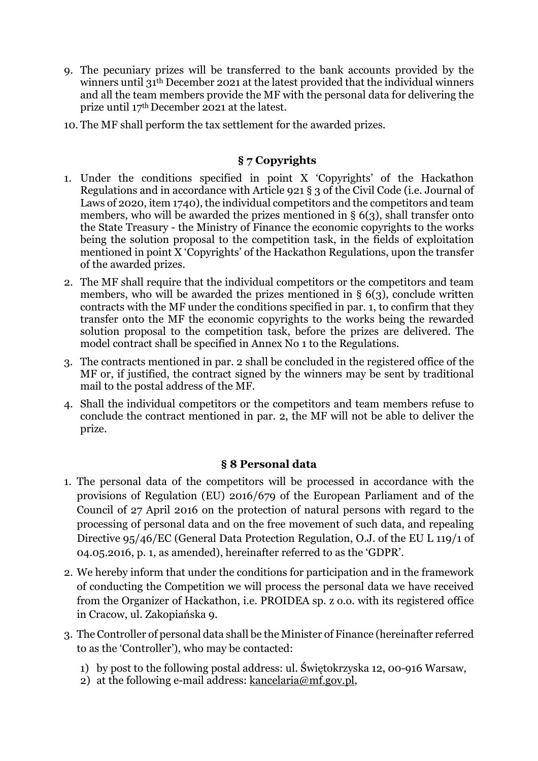- 9. The pecuniary prizes will be transferred to the bank accounts provided by the winners until 31th December 2021 at the latest provided that the individual winners and all the team members provide the MF with the personal data for delivering the prize until 17th December 2021 at the latest.
- 10. The MF shall perform the tax settlement for the awarded prizes.

# **§ 7 Copyrights**

- 1. Under the conditions specified in point X 'Copyrights' of the Hackathon Regulations and in accordance with Article 921 § 3 of the Civil Code (i.e. Journal of Laws of 2020, item 1740), the individual competitors and the competitors and team members, who will be awarded the prizes mentioned in § 6(3), shall transfer onto the State Treasury - the Ministry of Finance the economic copyrights to the works being the solution proposal to the competition task, in the fields of exploitation mentioned in point X 'Copyrights' of the Hackathon Regulations, upon the transfer of the awarded prizes.
- 2. The MF shall require that the individual competitors or the competitors and team members, who will be awarded the prizes mentioned in § 6(3), conclude written contracts with the MF under the conditions specified in par. 1, to confirm that they transfer onto the MF the economic copyrights to the works being the rewarded solution proposal to the competition task, before the prizes are delivered. The model contract shall be specified in Annex No 1 to the Regulations.
- 3. The contracts mentioned in par. 2 shall be concluded in the registered office of the MF or, if justified, the contract signed by the winners may be sent by traditional mail to the postal address of the MF.
- 4. Shall the individual competitors or the competitors and team members refuse to conclude the contract mentioned in par. 2, the MF will not be able to deliver the prize.

# **§ 8 Personal data**

- 1. The personal data of the competitors will be processed in accordance with the provisions of Regulation (EU) 2016/679 of the European Parliament and of the Council of 27 April 2016 on the protection of natural persons with regard to the processing of personal data and on the free movement of such data, and repealing Directive 95/46/EC (General Data Protection Regulation, O.J. of the EU L 119/1 of 04.05.2016, p. 1, as amended), hereinafter referred to as the 'GDPR'.
- 2. We hereby inform that under the conditions for participation and in the framework of conducting the Competition we will process the personal data we have received from the Organizer of Hackathon, i.e. PROIDEA sp. z o.o. with its registered office in Cracow, ul. Zakopiańska 9.
- 3. The Controller of personal data shall be the Minister of Finance (hereinafter referred to as the 'Controller'), who may be contacted:
	- 1) by post to the following postal address: ul. Świętokrzyska 12, 00-916 Warsaw,
	- 2) at the following e-mail address:  $kancelaria@mf.gov.pl$ ,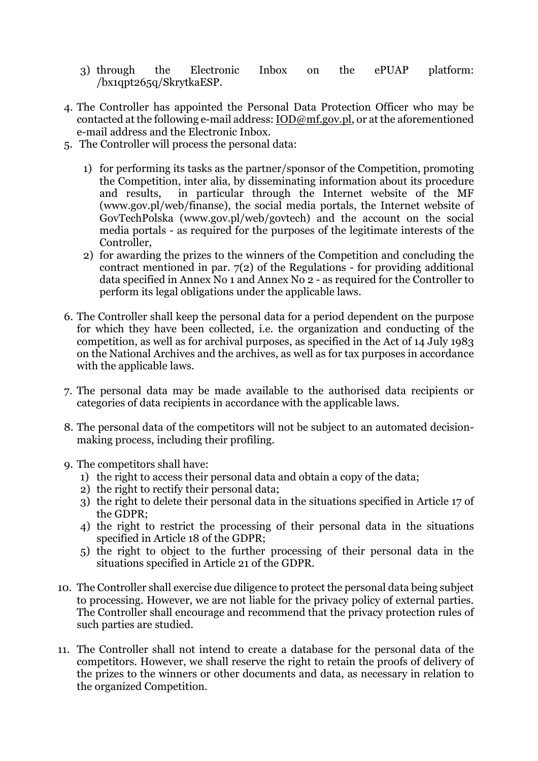- 3) through the Electronic Inbox on the ePUAP platform: /bx1qpt265q/SkrytkaESP.
- 4. The Controller has appointed the Personal Data Protection Officer who may be contacted at the following e-mail address: IOD@mf.gov.pl, or at the aforementioned e-mail address and the Electronic Inbox.
- 5. The Controller will process the personal data:
	- 1) for performing its tasks as the partner/sponsor of the Competition, promoting the Competition, inter alia, by disseminating information about its procedure and results, in particular through the Internet website of the MF (www.gov.pl/web/finanse), the social media portals, the Internet website of GovTechPolska (www.gov.pl/web/govtech) and the account on the social media portals - as required for the purposes of the legitimate interests of the Controller,
	- 2) for awarding the prizes to the winners of the Competition and concluding the contract mentioned in par.  $7(2)$  of the Regulations - for providing additional data specified in Annex No 1 and Annex No 2 - as required for the Controller to perform its legal obligations under the applicable laws.
- 6. The Controller shall keep the personal data for a period dependent on the purpose for which they have been collected, i.e. the organization and conducting of the competition, as well as for archival purposes, as specified in the Act of 14 July 1983 on the National Archives and the archives, as well as for tax purposes in accordance with the applicable laws.
- 7. The personal data may be made available to the authorised data recipients or categories of data recipients in accordance with the applicable laws.
- 8. The personal data of the competitors will not be subject to an automated decisionmaking process, including their profiling.
- 9. The competitors shall have:
	- 1) the right to access their personal data and obtain a copy of the data;
	- 2) the right to rectify their personal data;
	- 3) the right to delete their personal data in the situations specified in Article 17 of the GDPR;
	- 4) the right to restrict the processing of their personal data in the situations specified in Article 18 of the GDPR;
	- 5) the right to object to the further processing of their personal data in the situations specified in Article 21 of the GDPR.
- 10. The Controller shall exercise due diligence to protect the personal data being subject to processing. However, we are not liable for the privacy policy of external parties. The Controller shall encourage and recommend that the privacy protection rules of such parties are studied.
- 11. The Controller shall not intend to create a database for the personal data of the competitors. However, we shall reserve the right to retain the proofs of delivery of the prizes to the winners or other documents and data, as necessary in relation to the organized Competition.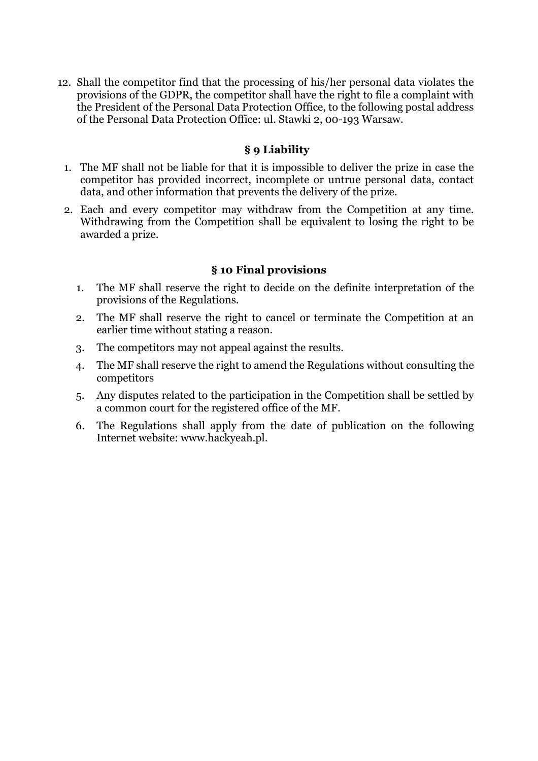12. Shall the competitor find that the processing of his/her personal data violates the provisions of the GDPR, the competitor shall have the right to file a complaint with the President of the Personal Data Protection Office, to the following postal address of the Personal Data Protection Office: ul. Stawki 2, 00-193 Warsaw.

### **§ 9 Liability**

- 1. The MF shall not be liable for that it is impossible to deliver the prize in case the competitor has provided incorrect, incomplete or untrue personal data, contact data, and other information that prevents the delivery of the prize.
- 2. Each and every competitor may withdraw from the Competition at any time. Withdrawing from the Competition shall be equivalent to losing the right to be awarded a prize.

### **§ 10 Final provisions**

- 1. The MF shall reserve the right to decide on the definite interpretation of the provisions of the Regulations.
- 2. The MF shall reserve the right to cancel or terminate the Competition at an earlier time without stating a reason.
- 3. The competitors may not appeal against the results.
- 4. The MF shall reserve the right to amend the Regulations without consulting the competitors
- 5. Any disputes related to the participation in the Competition shall be settled by a common court for the registered office of the MF.
- 6. The Regulations shall apply from the date of publication on the following Internet website: www.hackyeah.pl.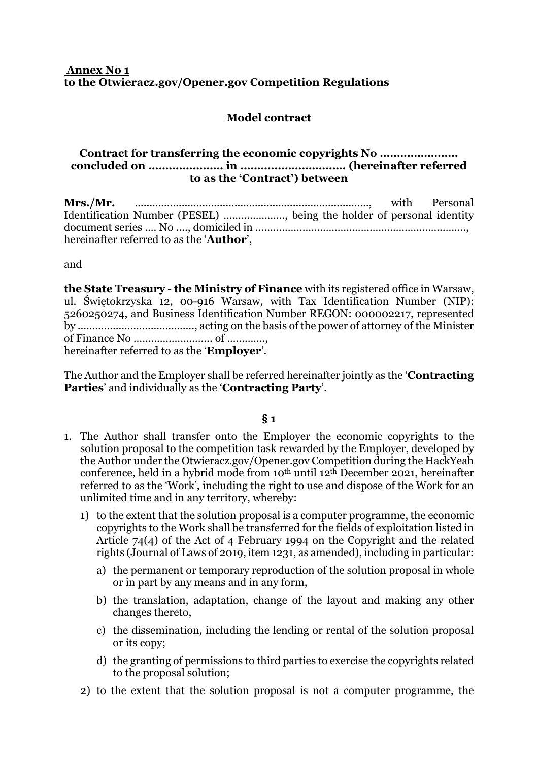#### **Annex No 1 to the Otwieracz.gov/Opener.gov Competition Regulations**

# **Model contract**

#### **Contract for transferring the economic copyrights No ………………….. concluded on …………………. in …………………………. (hereinafter referred to as the 'Contract') between**

|                                                                       | with Personal |
|-----------------------------------------------------------------------|---------------|
| Identification Number (PESEL) , being the holder of personal identity |               |
|                                                                       |               |
| hereinafter referred to as the ' <b>Author</b> ',                     |               |

and

**the State Treasury - the Ministry of Finance** with its registered office in Warsaw, ul. Świętokrzyska 12, 00-916 Warsaw, with Tax Identification Number (NIP): 5260250274, and Business Identification Number REGON: 000002217, represented by …………………………………., acting on the basis of the power of attorney of the Minister of Finance No ………….………….. of …………., hereinafter referred to as the '**Employer**'.

The Author and the Employer shall be referred hereinafter jointly as the '**Contracting Parties**' and individually as the '**Contracting Party**'.

#### **§ 1**

- 1. The Author shall transfer onto the Employer the economic copyrights to the solution proposal to the competition task rewarded by the Employer, developed by the Author under the Otwieracz.gov/Opener.gov Competition during the HackYeah conference, held in a hybrid mode from 10th until 12th December 2021, hereinafter referred to as the 'Work', including the right to use and dispose of the Work for an unlimited time and in any territory, whereby:
	- 1) to the extent that the solution proposal is a computer programme, the economic copyrights to the Work shall be transferred for the fields of exploitation listed in Article 74(4) of the Act of 4 February 1994 on the Copyright and the related rights (Journal of Laws of 2019, item 1231, as amended), including in particular:
		- a) the permanent or temporary reproduction of the solution proposal in whole or in part by any means and in any form,
		- b) the translation, adaptation, change of the layout and making any other changes thereto,
		- c) the dissemination, including the lending or rental of the solution proposal or its copy;
		- d) the granting of permissions to third parties to exercise the copyrights related to the proposal solution;
	- 2) to the extent that the solution proposal is not a computer programme, the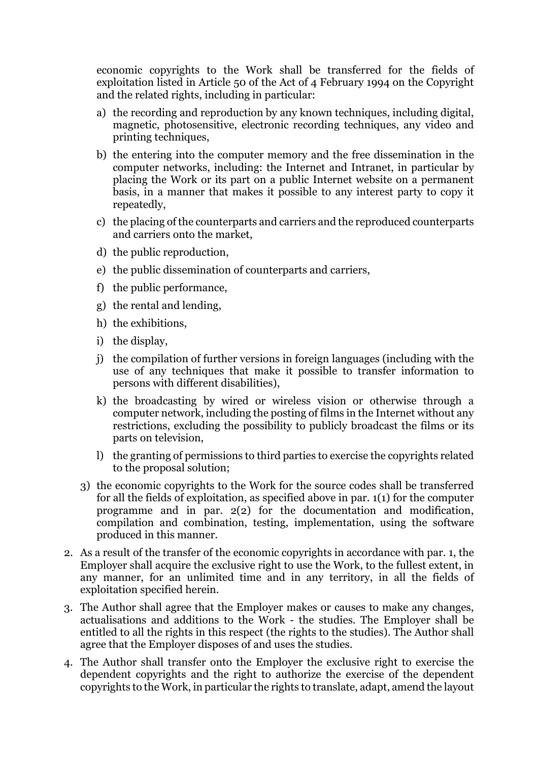economic copyrights to the Work shall be transferred for the fields of exploitation listed in Article 50 of the Act of 4 February 1994 on the Copyright and the related rights, including in particular:

- a) the recording and reproduction by any known techniques, including digital, magnetic, photosensitive, electronic recording techniques, any video and printing techniques,
- b) the entering into the computer memory and the free dissemination in the computer networks, including: the Internet and Intranet, in particular by placing the Work or its part on a public Internet website on a permanent basis, in a manner that makes it possible to any interest party to copy it repeatedly,
- c) the placing of the counterparts and carriers and the reproduced counterparts and carriers onto the market,
- d) the public reproduction,
- e) the public dissemination of counterparts and carriers,
- f) the public performance,
- g) the rental and lending,
- h) the exhibitions,
- i) the display,
- j) the compilation of further versions in foreign languages (including with the use of any techniques that make it possible to transfer information to persons with different disabilities),
- k) the broadcasting by wired or wireless vision or otherwise through a computer network, including the posting of films in the Internet without any restrictions, excluding the possibility to publicly broadcast the films or its parts on television,
- l) the granting of permissions to third parties to exercise the copyrights related to the proposal solution;
- 3) the economic copyrights to the Work for the source codes shall be transferred for all the fields of exploitation, as specified above in par. 1(1) for the computer programme and in par. 2(2) for the documentation and modification, compilation and combination, testing, implementation, using the software produced in this manner.
- 2. As a result of the transfer of the economic copyrights in accordance with par. 1, the Employer shall acquire the exclusive right to use the Work, to the fullest extent, in any manner, for an unlimited time and in any territory, in all the fields of exploitation specified herein.
- 3. The Author shall agree that the Employer makes or causes to make any changes, actualisations and additions to the Work - the studies. The Employer shall be entitled to all the rights in this respect (the rights to the studies). The Author shall agree that the Employer disposes of and uses the studies.
- 4. The Author shall transfer onto the Employer the exclusive right to exercise the dependent copyrights and the right to authorize the exercise of the dependent copyrights to the Work, in particular the rights to translate, adapt, amend the layout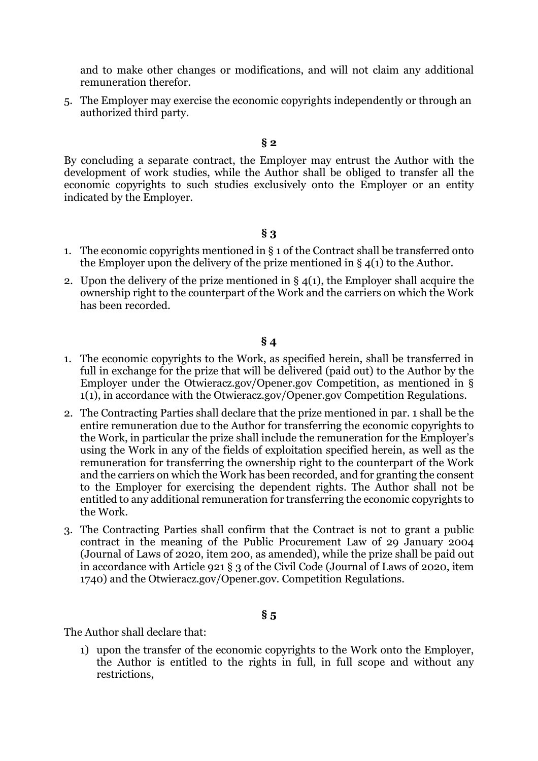and to make other changes or modifications, and will not claim any additional remuneration therefor.

5. The Employer may exercise the economic copyrights independently or through an authorized third party.

#### **§ 2**

By concluding a separate contract, the Employer may entrust the Author with the development of work studies, while the Author shall be obliged to transfer all the economic copyrights to such studies exclusively onto the Employer or an entity indicated by the Employer.

#### **§ 3**

- 1. The economic copyrights mentioned in § 1 of the Contract shall be transferred onto the Employer upon the delivery of the prize mentioned in § 4(1) to the Author.
- 2. Upon the delivery of the prize mentioned in  $\S 4(1)$ , the Employer shall acquire the ownership right to the counterpart of the Work and the carriers on which the Work has been recorded.

#### **§ 4**

- 1. The economic copyrights to the Work, as specified herein, shall be transferred in full in exchange for the prize that will be delivered (paid out) to the Author by the Employer under the Otwieracz.gov/Opener.gov Competition, as mentioned in § 1(1), in accordance with the Otwieracz.gov/Opener.gov Competition Regulations.
- 2. The Contracting Parties shall declare that the prize mentioned in par. 1 shall be the entire remuneration due to the Author for transferring the economic copyrights to the Work, in particular the prize shall include the remuneration for the Employer's using the Work in any of the fields of exploitation specified herein, as well as the remuneration for transferring the ownership right to the counterpart of the Work and the carriers on which the Work has been recorded, and for granting the consent to the Employer for exercising the dependent rights. The Author shall not be entitled to any additional remuneration for transferring the economic copyrights to the Work.
- 3. The Contracting Parties shall confirm that the Contract is not to grant a public contract in the meaning of the Public Procurement Law of 29 January 2004 (Journal of Laws of 2020, item 200, as amended), while the prize shall be paid out in accordance with Article 921 § 3 of the Civil Code (Journal of Laws of 2020, item 1740) and the Otwieracz.gov/Opener.gov. Competition Regulations.

#### **§ 5**

The Author shall declare that:

1) upon the transfer of the economic copyrights to the Work onto the Employer, the Author is entitled to the rights in full, in full scope and without any restrictions,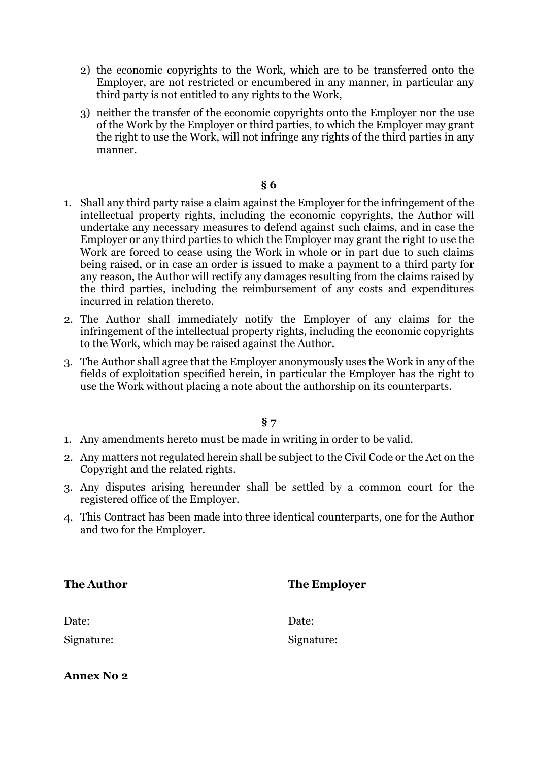- 2) the economic copyrights to the Work, which are to be transferred onto the Employer, are not restricted or encumbered in any manner, in particular any third party is not entitled to any rights to the Work,
- 3) neither the transfer of the economic copyrights onto the Employer nor the use of the Work by the Employer or third parties, to which the Employer may grant the right to use the Work, will not infringe any rights of the third parties in any manner.

#### **§ 6**

- 1. Shall any third party raise a claim against the Employer for the infringement of the intellectual property rights, including the economic copyrights, the Author will undertake any necessary measures to defend against such claims, and in case the Employer or any third parties to which the Employer may grant the right to use the Work are forced to cease using the Work in whole or in part due to such claims being raised, or in case an order is issued to make a payment to a third party for any reason, the Author will rectify any damages resulting from the claims raised by the third parties, including the reimbursement of any costs and expenditures incurred in relation thereto.
- 2. The Author shall immediately notify the Employer of any claims for the infringement of the intellectual property rights, including the economic copyrights to the Work, which may be raised against the Author.
- 3. The Author shall agree that the Employer anonymously uses the Work in any of the fields of exploitation specified herein, in particular the Employer has the right to use the Work without placing a note about the authorship on its counterparts.

# **§ 7**

- 1. Any amendments hereto must be made in writing in order to be valid.
- 2. Any matters not regulated herein shall be subject to the Civil Code or the Act on the Copyright and the related rights.
- 3. Any disputes arising hereunder shall be settled by a common court for the registered office of the Employer.
- 4. This Contract has been made into three identical counterparts, one for the Author and two for the Employer.

**The Author The Employer** 

| Date: |
|-------|
|       |

Signature: Signature:

**Annex No 2**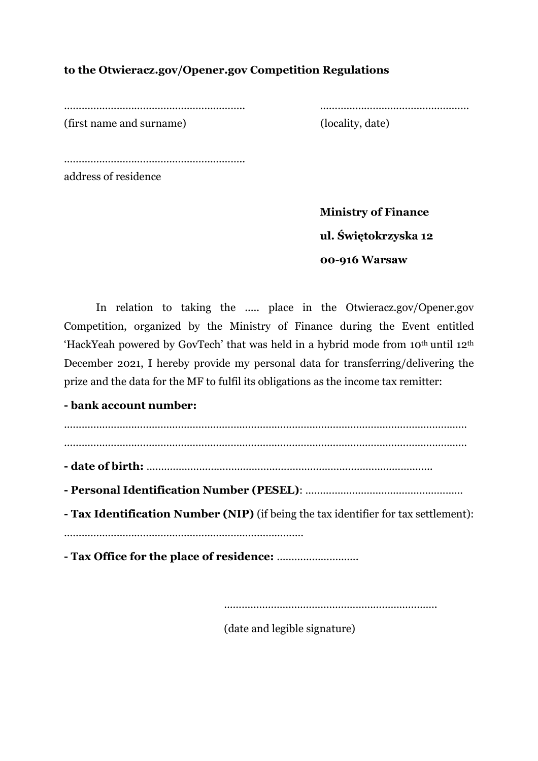# **to the Otwieracz.gov/Opener.gov Competition Regulations**

…………………………………………………….. ……………………………………………

(first name and surname) (locality, date)

……………………………………………………………

address of residence

 **Ministry of Finance ul. Świętokrzyska 12 00-916 Warsaw** 

In relation to taking the ..... place in the Otwieracz.gov/Opener.gov Competition, organized by the Ministry of Finance during the Event entitled 'HackYeah powered by GovTech' that was held in a hybrid mode from 10th until 12th December 2021, I hereby provide my personal data for transferring/delivering the prize and the data for the MF to fulfil its obligations as the income tax remitter:

**- bank account number:** 

. The same independent of the same independent of the same independent of the same independent of the same independent of the same independent of the same independent of the same independent of the same independent of the ………………………………………………………………………………………………………………………… **- date of birth:** …………………………………………………………………………………….. **- Personal Identification Number (PESEL)**: ……………………………………………… **- Tax Identification Number (NIP)** (if being the tax identifier for tax settlement): ………………………………………………………………………. **- Tax Office for the place of residence:** ……………………….

……………………………………………………………………

(date and legible signature)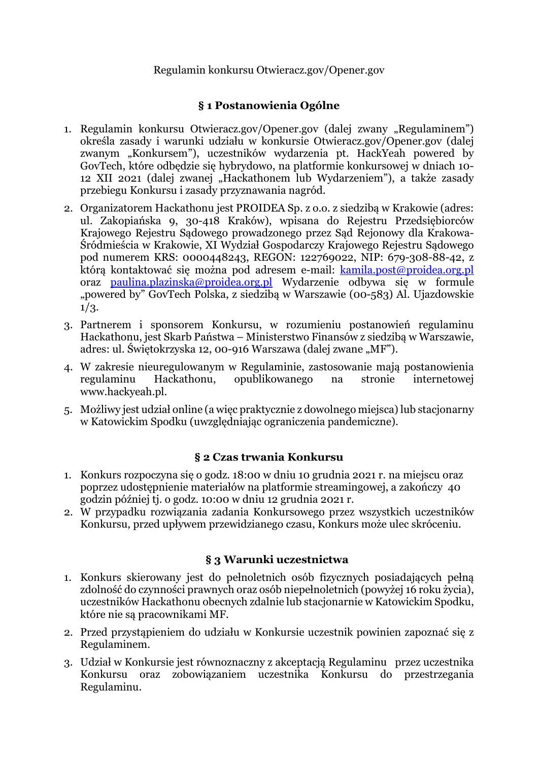# Regulamin konkursu Otwieracz.gov/Opener.gov

# **§ 1 Postanowienia Ogólne**

- 1. Regulamin konkursu Otwieracz.gov/Opener.gov (dalej zwany "Regulaminem") określa zasady i warunki udziału w konkursie Otwieracz.gov/Opener.gov (dalej zwanym "Konkursem"), uczestników wydarzenia pt. HackYeah powered by GovTech, które odbędzie się hybrydowo, na platformie konkursowej w dniach 10- 12 XII 2021 (dalej zwanej "Hackathonem lub Wydarzeniem"), a także zasady przebiegu Konkursu i zasady przyznawania nagród.
- 2. Organizatorem Hackathonu jest PROIDEA Sp. z o.o. z siedzibą w Krakowie (adres: ul. Zakopiańska 9, 30-418 Kraków), wpisana do Rejestru Przedsiębiorców Krajowego Rejestru Sądowego prowadzonego przez Sąd Rejonowy dla Krakowa-Śródmieścia w Krakowie, XI Wydział Gospodarczy Krajowego Rejestru Sądowego pod numerem KRS: 0000448243, REGON: 122769022, NIP: 679-308-88-42, z którą kontaktować się można pod adresem e-mail: **kamila.post@proidea.org.pl** oraz paulina.plazinska@proidea.org.pl Wydarzenie odbywa się w formule "powered by" GovTech Polska, z siedzibą w Warszawie (00-583) Al. Ujazdowskie  $1/3.$
- 3. Partnerem i sponsorem Konkursu, w rozumieniu postanowień regulaminu Hackathonu, jest Skarb Państwa – Ministerstwo Finansów z siedzibą w Warszawie, adres: ul. Świętokrzyska 12, 00-916 Warszawa (dalej zwane "MF").
- 4. W zakresie nieuregulowanym w Regulaminie, zastosowanie mają postanowienia regulaminu Hackathonu, opublikowanego na stronie internetowej www.hackyeah.pl.
- 5. Możliwy jest udział online (a więc praktycznie z dowolnego miejsca) lub stacjonarny w Katowickim Spodku (uwzględniając ograniczenia pandemiczne).

# **§ 2 Czas trwania Konkursu**

- 1. Konkurs rozpoczyna się o godz. 18:00 w dniu 10 grudnia 2021 r. na miejscu oraz poprzez udostępnienie materiałów na platformie streamingowej, a zakończy 40 godzin później tj. o godz. 10:00 w dniu 12 grudnia 2021 r.
- 2. W przypadku rozwiązania zadania Konkursowego przez wszystkich uczestników Konkursu, przed upływem przewidzianego czasu, Konkurs może ulec skróceniu.

# **§ 3 Warunki uczestnictwa**

- 1. Konkurs skierowany jest do pełnoletnich osób fizycznych posiadających pełną zdolność do czynności prawnych oraz osób niepełnoletnich (powyżej 16 roku życia), uczestników Hackathonu obecnych zdalnie lub stacjonarnie w Katowickim Spodku, które nie są pracownikami MF.
- 2. Przed przystąpieniem do udziału w Konkursie uczestnik powinien zapoznać się z Regulaminem.
- 3. Udział w Konkursie jest równoznaczny z akceptacją Regulaminu przez uczestnika Konkursu oraz zobowiązaniem uczestnika Konkursu do przestrzegania Regulaminu.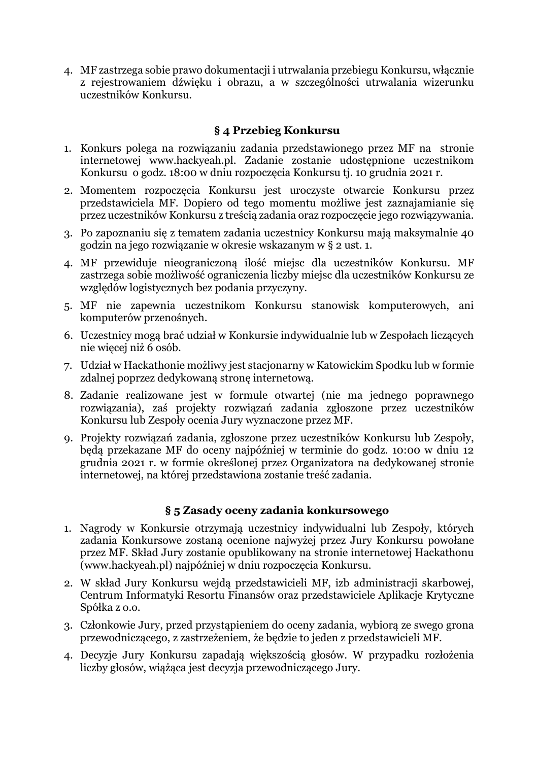4. MF zastrzega sobie prawo dokumentacji i utrwalania przebiegu Konkursu, włącznie z rejestrowaniem dźwięku i obrazu, a w szczególności utrwalania wizerunku uczestników Konkursu.

# **§ 4 Przebieg Konkursu**

- 1. Konkurs polega na rozwiązaniu zadania przedstawionego przez MF na stronie internetowej www.hackyeah.pl. Zadanie zostanie udostępnione uczestnikom Konkursu o godz. 18:00 w dniu rozpoczęcia Konkursu tj. 10 grudnia 2021 r.
- 2. Momentem rozpoczęcia Konkursu jest uroczyste otwarcie Konkursu przez przedstawiciela MF. Dopiero od tego momentu możliwe jest zaznajamianie się przez uczestników Konkursu z treścią zadania oraz rozpoczęcie jego rozwiązywania.
- 3. Po zapoznaniu się z tematem zadania uczestnicy Konkursu mają maksymalnie 40 godzin na jego rozwiązanie w okresie wskazanym w § 2 ust. 1.
- 4. MF przewiduje nieograniczoną ilość miejsc dla uczestników Konkursu. MF zastrzega sobie możliwość ograniczenia liczby miejsc dla uczestników Konkursu ze względów logistycznych bez podania przyczyny.
- 5. MF nie zapewnia uczestnikom Konkursu stanowisk komputerowych, ani komputerów przenośnych.
- 6. Uczestnicy mogą brać udział w Konkursie indywidualnie lub w Zespołach liczących nie więcej niż 6 osób.
- 7. Udział w Hackathonie możliwy jest stacjonarny w Katowickim Spodku lub w formie zdalnej poprzez dedykowaną stronę internetową.
- 8. Zadanie realizowane jest w formule otwartej (nie ma jednego poprawnego rozwiązania), zaś projekty rozwiązań zadania zgłoszone przez uczestników Konkursu lub Zespoły ocenia Jury wyznaczone przez MF.
- 9. Projekty rozwiązań zadania, zgłoszone przez uczestników Konkursu lub Zespoły, będą przekazane MF do oceny najpóźniej w terminie do godz. 10:00 w dniu 12 grudnia 2021 r. w formie określonej przez Organizatora na dedykowanej stronie internetowej, na której przedstawiona zostanie treść zadania.

# **§ 5 Zasady oceny zadania konkursowego**

- 1. Nagrody w Konkursie otrzymają uczestnicy indywidualni lub Zespoły, których zadania Konkursowe zostaną ocenione najwyżej przez Jury Konkursu powołane przez MF. Skład Jury zostanie opublikowany na stronie internetowej Hackathonu (www.hackyeah.pl) najpóźniej w dniu rozpoczęcia Konkursu.
- 2. W skład Jury Konkursu wejdą przedstawicieli MF, izb administracji skarbowej, Centrum Informatyki Resortu Finansów oraz przedstawiciele Aplikacje Krytyczne Spółka z o.o.
- 3. Członkowie Jury, przed przystąpieniem do oceny zadania, wybiorą ze swego grona przewodniczącego, z zastrzeżeniem, że będzie to jeden z przedstawicieli MF.
- 4. Decyzje Jury Konkursu zapadają większością głosów. W przypadku rozłożenia liczby głosów, wiążąca jest decyzja przewodniczącego Jury.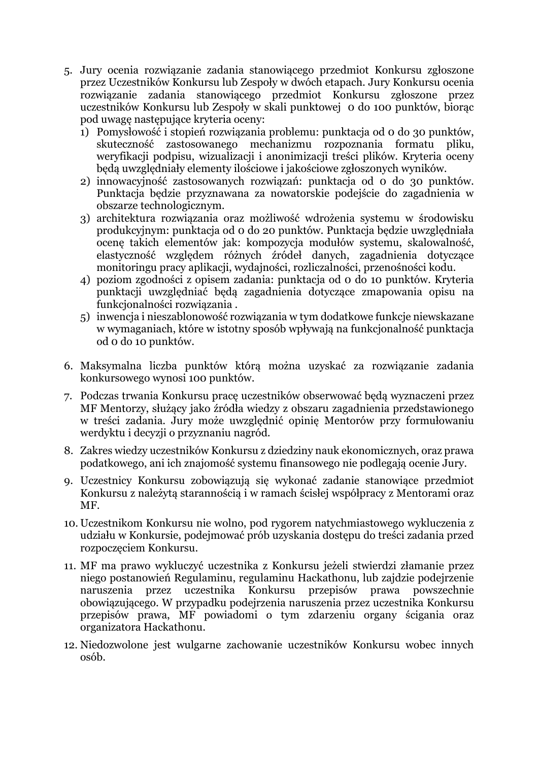- 5. Jury ocenia rozwiązanie zadania stanowiącego przedmiot Konkursu zgłoszone przez Uczestników Konkursu lub Zespoły w dwóch etapach. Jury Konkursu ocenia rozwiązanie zadania stanowiącego przedmiot Konkursu zgłoszone przez uczestników Konkursu lub Zespoły w skali punktowej 0 do 100 punktów, biorąc pod uwagę następujące kryteria oceny:
	- 1) Pomysłowość i stopień rozwiązania problemu: punktacja od 0 do 30 punktów, skuteczność zastosowanego mechanizmu rozpoznania formatu pliku, weryfikacji podpisu, wizualizacji i anonimizacji treści plików. Kryteria oceny będą uwzględniały elementy ilościowe i jakościowe zgłoszonych wyników.
	- 2) innowacyjność zastosowanych rozwiązań: punktacja od 0 do 30 punktów. Punktacja będzie przyznawana za nowatorskie podejście do zagadnienia w obszarze technologicznym.
	- 3) architektura rozwiązania oraz możliwość wdrożenia systemu w środowisku produkcyjnym: punktacja od 0 do 20 punktów. Punktacja będzie uwzględniała ocenę takich elementów jak: kompozycja modułów systemu, skalowalność, elastyczność względem różnych źródeł danych, zagadnienia dotyczące monitoringu pracy aplikacji, wydajności, rozliczalności, przenośności kodu.
	- 4) poziom zgodności z opisem zadania: punktacja od 0 do 10 punktów. Kryteria punktacji uwzględniać będą zagadnienia dotyczące zmapowania opisu na funkcjonalności rozwiązania .
	- 5) inwencja i nieszablonowość rozwiązania w tym dodatkowe funkcje niewskazane w wymaganiach, które w istotny sposób wpływają na funkcjonalność punktacja od 0 do 10 punktów.
- 6. Maksymalna liczba punktów którą można uzyskać za rozwiązanie zadania konkursowego wynosi 100 punktów.
- 7. Podczas trwania Konkursu pracę uczestników obserwować będą wyznaczeni przez MF Mentorzy, służący jako źródła wiedzy z obszaru zagadnienia przedstawionego w treści zadania. Jury może uwzględnić opinię Mentorów przy formułowaniu werdyktu i decyzji o przyznaniu nagród.
- 8. Zakres wiedzy uczestników Konkursu z dziedziny nauk ekonomicznych, oraz prawa podatkowego, ani ich znajomość systemu finansowego nie podlegają ocenie Jury.
- 9. Uczestnicy Konkursu zobowiązują się wykonać zadanie stanowiące przedmiot Konkursu z należytą starannością i w ramach ścisłej współpracy z Mentorami oraz MF.
- 10. Uczestnikom Konkursu nie wolno, pod rygorem natychmiastowego wykluczenia z udziału w Konkursie, podejmować prób uzyskania dostępu do treści zadania przed rozpoczęciem Konkursu.
- 11. MF ma prawo wykluczyć uczestnika z Konkursu jeżeli stwierdzi złamanie przez niego postanowień Regulaminu, regulaminu Hackathonu, lub zajdzie podejrzenie naruszenia przez uczestnika Konkursu przepisów prawa powszechnie obowiązującego. W przypadku podejrzenia naruszenia przez uczestnika Konkursu przepisów prawa, MF powiadomi o tym zdarzeniu organy ścigania oraz organizatora Hackathonu.
- 12. Niedozwolone jest wulgarne zachowanie uczestników Konkursu wobec innych osób.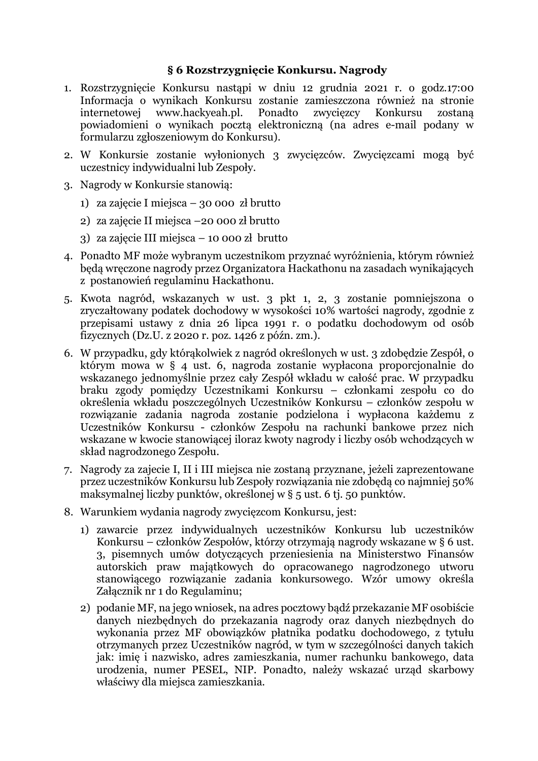### **§ 6 Rozstrzygnięcie Konkursu. Nagrody**

- 1. Rozstrzygnięcie Konkursu nastąpi w dniu 12 grudnia 2021 r. o godz.17:00 Informacja o wynikach Konkursu zostanie zamieszczona również na stronie internetowej www.hackyeah.pl. Ponadto zwycięzcy Konkursu zostaną powiadomieni o wynikach pocztą elektroniczną (na adres e-mail podany w formularzu zgłoszeniowym do Konkursu).
- 2. W Konkursie zostanie wyłonionych 3 zwycięzców. Zwycięzcami mogą być uczestnicy indywidualni lub Zespoły.
- 3. Nagrody w Konkursie stanowią:
	- 1) za zajęcie I miejsca 30 000 zł brutto
	- 2) za zajęcie II miejsca –20 000 zł brutto
	- 3) za zajęcie III miejsca 10 000 zł brutto
- 4. Ponadto MF może wybranym uczestnikom przyznać wyróżnienia, którym również będą wręczone nagrody przez Organizatora Hackathonu na zasadach wynikających z postanowień regulaminu Hackathonu.
- 5. Kwota nagród, wskazanych w ust. 3 pkt 1, 2, 3 zostanie pomniejszona o zryczałtowany podatek dochodowy w wysokości 10% wartości nagrody, zgodnie z przepisami ustawy z dnia 26 lipca 1991 r. o podatku dochodowym od osób fizycznych (Dz.U. z 2020 r. poz. 1426 z późn. zm.).
- 6. W przypadku, gdy którąkolwiek z nagród określonych w ust. 3 zdobędzie Zespół, o którym mowa w § 4 ust. 6, nagroda zostanie wypłacona proporcjonalnie do wskazanego jednomyślnie przez cały Zespół wkładu w całość prac. W przypadku braku zgody pomiędzy Uczestnikami Konkursu – członkami zespołu co do określenia wkładu poszczególnych Uczestników Konkursu – członków zespołu w rozwiązanie zadania nagroda zostanie podzielona i wypłacona każdemu z Uczestników Konkursu - członków Zespołu na rachunki bankowe przez nich wskazane w kwocie stanowiącej iloraz kwoty nagrody i liczby osób wchodzących w skład nagrodzonego Zespołu.
- 7. Nagrody za zajecie I, II i III miejsca nie zostaną przyznane, jeżeli zaprezentowane przez uczestników Konkursu lub Zespoły rozwiązania nie zdobędą co najmniej 50% maksymalnej liczby punktów, określonej w § 5 ust. 6 tj. 50 punktów.
- 8. Warunkiem wydania nagrody zwycięzcom Konkursu, jest:
	- 1) zawarcie przez indywidualnych uczestników Konkursu lub uczestników Konkursu – członków Zespołów, którzy otrzymają nagrody wskazane w § 6 ust. 3, pisemnych umów dotyczących przeniesienia na Ministerstwo Finansów autorskich praw majątkowych do opracowanego nagrodzonego utworu stanowiącego rozwiązanie zadania konkursowego. Wzór umowy określa Załącznik nr 1 do Regulaminu;
	- 2) podanie MF, na jego wniosek, na adres pocztowy bądź przekazanie MF osobiście danych niezbędnych do przekazania nagrody oraz danych niezbędnych do wykonania przez MF obowiązków płatnika podatku dochodowego, z tytułu otrzymanych przez Uczestników nagród, w tym w szczególności danych takich jak: imię i nazwisko, adres zamieszkania, numer rachunku bankowego, data urodzenia, numer PESEL, NIP. Ponadto, należy wskazać urząd skarbowy właściwy dla miejsca zamieszkania.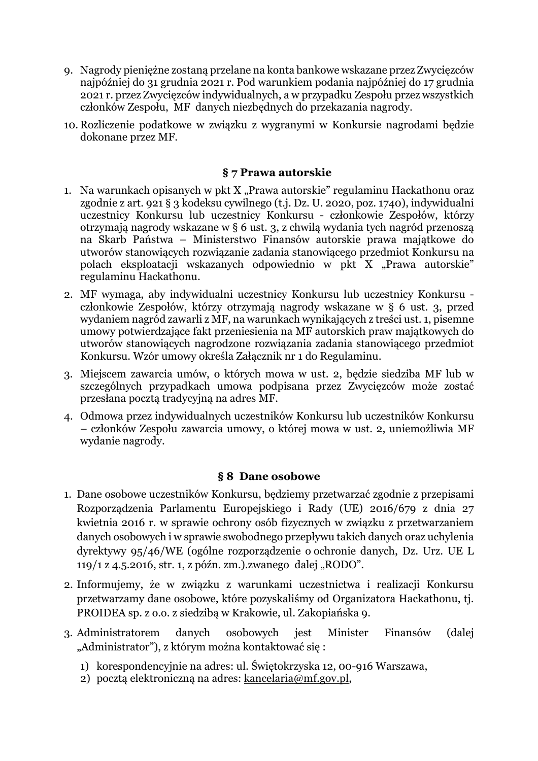- 9. Nagrody pieniężne zostaną przelane na konta bankowe wskazane przez Zwycięzców najpóźniej do 31 grudnia 2021 r. Pod warunkiem podania najpóźniej do 17 grudnia 2021 r. przez Zwycięzców indywidualnych, a w przypadku Zespołu przez wszystkich członków Zespołu, MF danych niezbędnych do przekazania nagrody.
- 10. Rozliczenie podatkowe w związku z wygranymi w Konkursie nagrodami będzie dokonane przez MF.

### **§ 7 Prawa autorskie**

- 1. Na warunkach opisanych w pkt X "Prawa autorskie" regulaminu Hackathonu oraz zgodnie z art. 921 § 3 kodeksu cywilnego (t.j. Dz. U. 2020, poz. 1740), indywidualni uczestnicy Konkursu lub uczestnicy Konkursu - członkowie Zespołów, którzy otrzymają nagrody wskazane w § 6 ust. 3, z chwilą wydania tych nagród przenoszą na Skarb Państwa – Ministerstwo Finansów autorskie prawa majątkowe do utworów stanowiących rozwiązanie zadania stanowiącego przedmiot Konkursu na polach eksploatacji wskazanych odpowiednio w pkt X "Prawa autorskie" regulaminu Hackathonu.
- 2. MF wymaga, aby indywidualni uczestnicy Konkursu lub uczestnicy Konkursu członkowie Zespołów, którzy otrzymają nagrody wskazane w § 6 ust. 3, przed wydaniem nagród zawarli z MF, na warunkach wynikających z treści ust. 1, pisemne umowy potwierdzające fakt przeniesienia na MF autorskich praw majątkowych do utworów stanowiących nagrodzone rozwiązania zadania stanowiącego przedmiot Konkursu. Wzór umowy określa Załącznik nr 1 do Regulaminu.
- 3. Miejscem zawarcia umów, o których mowa w ust. 2, będzie siedziba MF lub w szczególnych przypadkach umowa podpisana przez Zwycięzców może zostać przesłana pocztą tradycyjną na adres MF.
- 4. Odmowa przez indywidualnych uczestników Konkursu lub uczestników Konkursu – członków Zespołu zawarcia umowy, o której mowa w ust. 2, uniemożliwia MF wydanie nagrody.

#### **§ 8 Dane osobowe**

- 1. Dane osobowe uczestników Konkursu, będziemy przetwarzać zgodnie z przepisami Rozporządzenia Parlamentu Europejskiego i Rady (UE) 2016/679 z dnia 27 kwietnia 2016 r. w sprawie ochrony osób fizycznych w związku z przetwarzaniem danych osobowych i w sprawie swobodnego przepływu takich danych oraz uchylenia dyrektywy 95/46/WE (ogólne rozporządzenie o ochronie danych, Dz. Urz. UE L  $119/1$  z 4.5.2016, str. 1, z późn. zm.).zwanego dalej "RODO".
- 2. Informujemy, że w związku z warunkami uczestnictwa i realizacji Konkursu przetwarzamy dane osobowe, które pozyskaliśmy od Organizatora Hackathonu, tj. PROIDEA sp. z o.o. z siedzibą w Krakowie, ul. Zakopiańska 9.
- 3. Administratorem danych osobowych jest Minister Finansów (dalej "Administrator"), z którym można kontaktować się :
	- 1) korespondencyjnie na adres: ul. Świętokrzyska 12, 00-916 Warszawa,
	- 2) pocztą elektroniczną na adres: kancelaria@mf.gov.pl,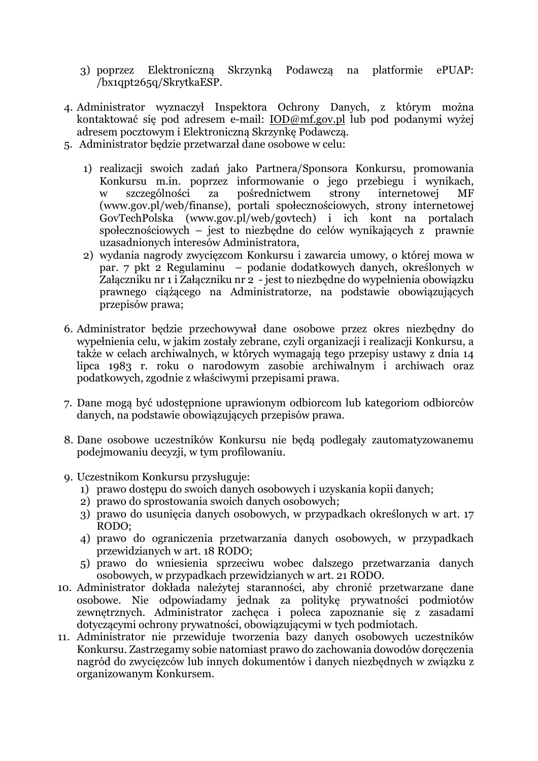- 3) poprzez Elektroniczną Skrzynką Podawczą na platformie ePUAP: /bx1qpt265q/SkrytkaESP.
- 4. Administrator wyznaczył Inspektora Ochrony Danych, z którym można kontaktować się pod adresem e-mail: IOD@mf.gov.pl lub pod podanymi wyżej adresem pocztowym i Elektroniczną Skrzynkę Podawczą.
- 5. Administrator będzie przetwarzał dane osobowe w celu:
	- 1) realizacji swoich zadań jako Partnera/Sponsora Konkursu, promowania Konkursu m.in. poprzez informowanie o jego przebiegu i wynikach, w szczególności za pośrednictwem strony internetowej MF (www.gov.pl/web/finanse), portali społecznościowych, strony internetowej GovTechPolska (www.gov.pl/web/govtech) i ich kont na portalach społecznościowych – jest to niezbędne do celów wynikających z prawnie uzasadnionych interesów Administratora,
	- 2) wydania nagrody zwycięzcom Konkursu i zawarcia umowy, o której mowa w par. 7 pkt 2 Regulaminu – podanie dodatkowych danych, określonych w Załączniku nr 1 i Załączniku nr 2 - jest to niezbędne do wypełnienia obowiązku prawnego ciążącego na Administratorze, na podstawie obowiązujących przepisów prawa;
- 6. Administrator będzie przechowywał dane osobowe przez okres niezbędny do wypełnienia celu, w jakim zostały zebrane, czyli organizacji i realizacji Konkursu, a także w celach archiwalnych, w których wymagają tego przepisy ustawy z dnia 14 lipca 1983 r. roku o narodowym zasobie archiwalnym i archiwach oraz podatkowych, zgodnie z właściwymi przepisami prawa.
- 7. Dane mogą być udostępnione uprawionym odbiorcom lub kategoriom odbiorców danych, na podstawie obowiązujących przepisów prawa.
- 8. Dane osobowe uczestników Konkursu nie będą podlegały zautomatyzowanemu podejmowaniu decyzji, w tym profilowaniu.
- 9. Uczestnikom Konkursu przysługuje:
	- 1) prawo dostępu do swoich danych osobowych i uzyskania kopii danych;
	- 2) prawo do sprostowania swoich danych osobowych;
	- 3) prawo do usunięcia danych osobowych, w przypadkach określonych w art. 17 RODO;
	- 4) prawo do ograniczenia przetwarzania danych osobowych, w przypadkach przewidzianych w art. 18 RODO;
	- 5) prawo do wniesienia sprzeciwu wobec dalszego przetwarzania danych osobowych, w przypadkach przewidzianych w art. 21 RODO.
- 10. Administrator dokłada należytej staranności, aby chronić przetwarzane dane osobowe. Nie odpowiadamy jednak za politykę prywatności podmiotów zewnętrznych. Administrator zachęca i poleca zapoznanie się z zasadami dotyczącymi ochrony prywatności, obowiązującymi w tych podmiotach.
- 11. Administrator nie przewiduje tworzenia bazy danych osobowych uczestników Konkursu. Zastrzegamy sobie natomiast prawo do zachowania dowodów doręczenia nagród do zwycięzców lub innych dokumentów i danych niezbędnych w związku z organizowanym Konkursem.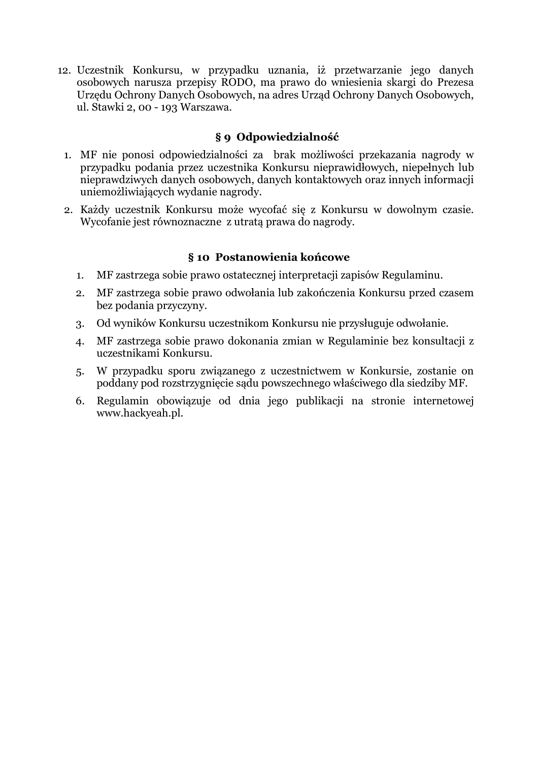12. Uczestnik Konkursu, w przypadku uznania, iż przetwarzanie jego danych osobowych narusza przepisy RODO, ma prawo do wniesienia skargi do Prezesa Urzędu Ochrony Danych Osobowych, na adres Urząd Ochrony Danych Osobowych, ul. Stawki 2, 00 - 193 Warszawa.

# **§ 9 Odpowiedzialność**

- 1. MF nie ponosi odpowiedzialności za brak możliwości przekazania nagrody w przypadku podania przez uczestnika Konkursu nieprawidłowych, niepełnych lub nieprawdziwych danych osobowych, danych kontaktowych oraz innych informacji uniemożliwiających wydanie nagrody.
- 2. Każdy uczestnik Konkursu może wycofać się z Konkursu w dowolnym czasie. Wycofanie jest równoznaczne z utratą prawa do nagrody.

### **§ 10 Postanowienia końcowe**

- 1. MF zastrzega sobie prawo ostatecznej interpretacji zapisów Regulaminu.
- 2. MF zastrzega sobie prawo odwołania lub zakończenia Konkursu przed czasem bez podania przyczyny.
- 3. Od wyników Konkursu uczestnikom Konkursu nie przysługuje odwołanie.
- 4. MF zastrzega sobie prawo dokonania zmian w Regulaminie bez konsultacji z uczestnikami Konkursu.
- 5. W przypadku sporu związanego z uczestnictwem w Konkursie, zostanie on poddany pod rozstrzygnięcie sądu powszechnego właściwego dla siedziby MF.
- 6. Regulamin obowiązuje od dnia jego publikacji na stronie internetowej www.hackyeah.pl.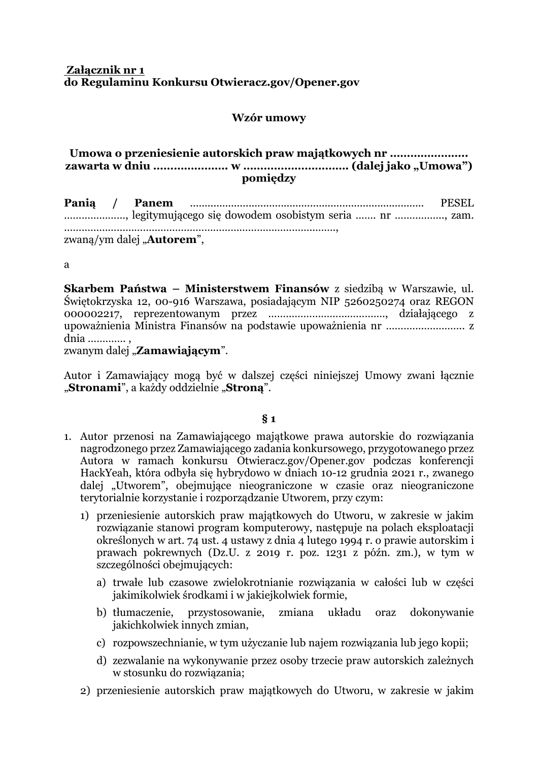### **Załącznik nr 1 do Regulaminu Konkursu Otwieracz.gov/Opener.gov**

### **Wzór umowy**

#### **Umowa o przeniesienie autorskich praw majątkowych nr ………………….. zawarta w dniu …………………. w …………………………. (dalej jako "Umowa") pomiędzy**

**Panią / Panem** ................................................................................ PESEL …………………, legitymującego się dowodem osobistym seria ……. nr …………….., zam. …………………………………………………………………………..……., zwaną/ym dalej "**Autorem**",

a

**Skarbem Państwa – Ministerstwem Finansów** z siedzibą w Warszawie, ul. Świętokrzyska 12, 00-916 Warszawa, posiadającym NIP 5260250274 oraz REGON 000002217, reprezentowanym przez …………………………………., działającego z upoważnienia Ministra Finansów na podstawie upoważnienia nr ………….………….. z dnia …………. ,

zwanym dalej "Zamawiającym".

Autor i Zamawiający mogą być w dalszej części niniejszej Umowy zwani łącznie "Stronami", a każdy oddzielnie "Strona".

#### **§ 1**

- 1. Autor przenosi na Zamawiającego majątkowe prawa autorskie do rozwiązania nagrodzonego przez Zamawiającego zadania konkursowego, przygotowanego przez Autora w ramach konkursu Otwieracz.gov/Opener.gov podczas konferencji HackYeah, która odbyła się hybrydowo w dniach 10-12 grudnia 2021 r., zwanego dalej "Utworem", obejmujące nieograniczone w czasie oraz nieograniczone terytorialnie korzystanie i rozporządzanie Utworem, przy czym:
	- 1) przeniesienie autorskich praw majątkowych do Utworu, w zakresie w jakim rozwiązanie stanowi program komputerowy, następuje na polach eksploatacji określonych w art. 74 ust. 4 ustawy z dnia 4 lutego 1994 r. o prawie autorskim i prawach pokrewnych (Dz.U. z 2019 r. poz. 1231 z późn. zm.), w tym w szczególności obejmujących:
		- a) trwałe lub czasowe zwielokrotnianie rozwiązania w całości lub w części jakimikolwiek środkami i w jakiejkolwiek formie,
		- b) tłumaczenie, przystosowanie, zmiana układu oraz dokonywanie jakichkolwiek innych zmian,
		- c) rozpowszechnianie, w tym użyczanie lub najem rozwiązania lub jego kopii;
		- d) zezwalanie na wykonywanie przez osoby trzecie praw autorskich zależnych w stosunku do rozwiązania;
	- 2) przeniesienie autorskich praw majątkowych do Utworu, w zakresie w jakim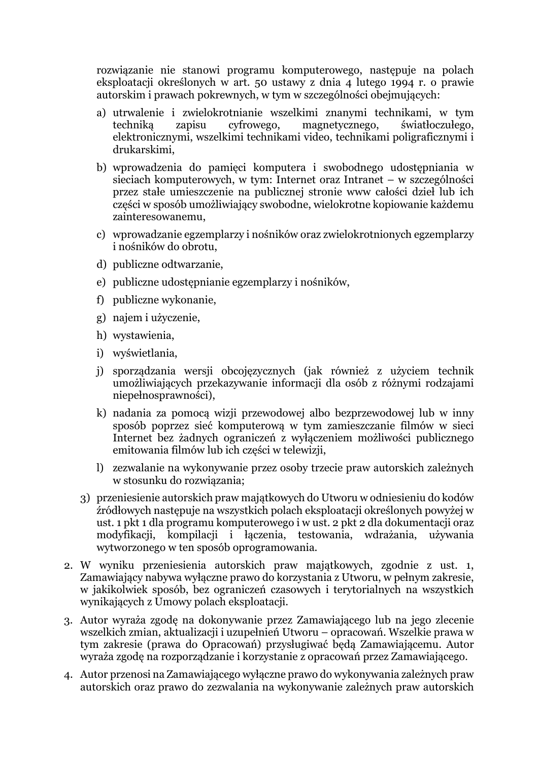rozwiązanie nie stanowi programu komputerowego, następuje na polach eksploatacji określonych w art. 50 ustawy z dnia 4 lutego 1994 r. o prawie autorskim i prawach pokrewnych, w tym w szczególności obejmujących:

- a) utrwalenie i zwielokrotnianie wszelkimi znanymi technikami, w tym techniką zapisu cyfrowego, magnetycznego, światłoczułego, elektronicznymi, wszelkimi technikami video, technikami poligraficznymi i drukarskimi,
- b) wprowadzenia do pamięci komputera i swobodnego udostępniania w sieciach komputerowych, w tym: Internet oraz Intranet – w szczególności przez stałe umieszczenie na publicznej stronie www całości dzieł lub ich części w sposób umożliwiający swobodne, wielokrotne kopiowanie każdemu zainteresowanemu,
- c) wprowadzanie egzemplarzy i nośników oraz zwielokrotnionych egzemplarzy i nośników do obrotu,
- d) publiczne odtwarzanie,
- e) publiczne udostępnianie egzemplarzy i nośników,
- f) publiczne wykonanie,
- g) najem i użyczenie,
- h) wystawienia,
- i) wyświetlania,
- j) sporządzania wersji obcojęzycznych (jak również z użyciem technik umożliwiających przekazywanie informacji dla osób z różnymi rodzajami niepełnosprawności),
- k) nadania za pomocą wizji przewodowej albo bezprzewodowej lub w inny sposób poprzez sieć komputerową w tym zamieszczanie filmów w sieci Internet bez żadnych ograniczeń z wyłączeniem możliwości publicznego emitowania filmów lub ich części w telewizji,
- l) zezwalanie na wykonywanie przez osoby trzecie praw autorskich zależnych w stosunku do rozwiązania;
- 3) przeniesienie autorskich praw majątkowych do Utworu w odniesieniu do kodów źródłowych następuje na wszystkich polach eksploatacji określonych powyżej w ust. 1 pkt 1 dla programu komputerowego i w ust. 2 pkt 2 dla dokumentacji oraz modyfikacji, kompilacji i łączenia, testowania, wdrażania, używania wytworzonego w ten sposób oprogramowania.
- 2. W wyniku przeniesienia autorskich praw majątkowych, zgodnie z ust. 1, Zamawiający nabywa wyłączne prawo do korzystania z Utworu, w pełnym zakresie, w jakikolwiek sposób, bez ograniczeń czasowych i terytorialnych na wszystkich wynikających z Umowy polach eksploatacji.
- 3. Autor wyraża zgodę na dokonywanie przez Zamawiającego lub na jego zlecenie wszelkich zmian, aktualizacji i uzupełnień Utworu – opracowań. Wszelkie prawa w tym zakresie (prawa do Opracowań) przysługiwać będą Zamawiającemu. Autor wyraża zgodę na rozporządzanie i korzystanie z opracowań przez Zamawiającego.
- 4. Autor przenosi na Zamawiającego wyłączne prawo do wykonywania zależnych praw autorskich oraz prawo do zezwalania na wykonywanie zależnych praw autorskich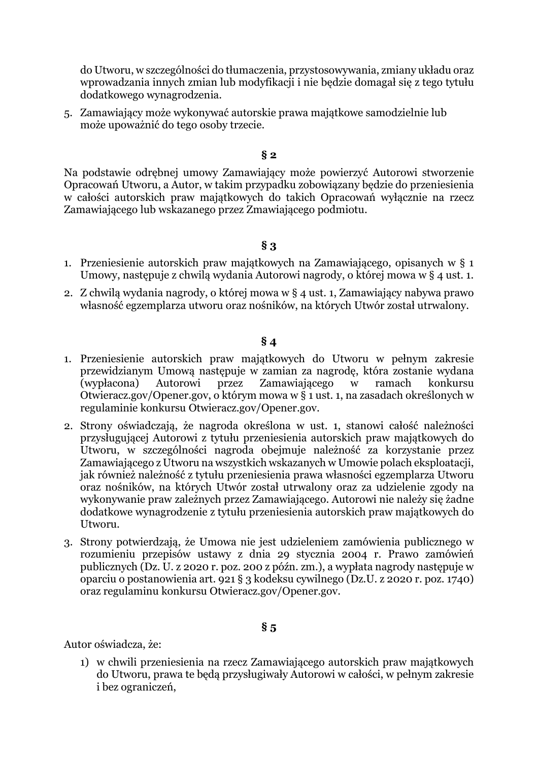do Utworu, w szczególności do tłumaczenia, przystosowywania, zmiany układu oraz wprowadzania innych zmian lub modyfikacji i nie będzie domagał się z tego tytułu dodatkowego wynagrodzenia.

5. Zamawiający może wykonywać autorskie prawa majątkowe samodzielnie lub może upoważnić do tego osoby trzecie.

#### **§ 2**

Na podstawie odrębnej umowy Zamawiający może powierzyć Autorowi stworzenie Opracowań Utworu, a Autor, w takim przypadku zobowiązany będzie do przeniesienia w całości autorskich praw majątkowych do takich Opracowań wyłącznie na rzecz Zamawiającego lub wskazanego przez Zmawiającego podmiotu.

#### **§ 3**

- 1. Przeniesienie autorskich praw majątkowych na Zamawiającego, opisanych w § 1 Umowy, następuje z chwilą wydania Autorowi nagrody, o której mowa w § 4 ust. 1.
- 2. Z chwilą wydania nagrody, o której mowa w § 4 ust. 1, Zamawiający nabywa prawo własność egzemplarza utworu oraz nośników, na których Utwór został utrwalony.

### **§ 4**

- 1. Przeniesienie autorskich praw majątkowych do Utworu w pełnym zakresie przewidzianym Umową następuje w zamian za nagrodę, która zostanie wydana (wypłacona) Autorowi przez Zamawiającego w ramach konkursu Otwieracz.gov/Opener.gov, o którym mowa w § 1 ust. 1, na zasadach określonych w regulaminie konkursu Otwieracz.gov/Opener.gov.
- 2. Strony oświadczają, że nagroda określona w ust. 1, stanowi całość należności przysługującej Autorowi z tytułu przeniesienia autorskich praw majątkowych do Utworu, w szczególności nagroda obejmuje należność za korzystanie przez Zamawiającego z Utworu na wszystkich wskazanych w Umowie polach eksploatacji, jak również należność z tytułu przeniesienia prawa własności egzemplarza Utworu oraz nośników, na których Utwór został utrwalony oraz za udzielenie zgody na wykonywanie praw zależnych przez Zamawiającego. Autorowi nie należy się żadne dodatkowe wynagrodzenie z tytułu przeniesienia autorskich praw majątkowych do Utworu.
- 3. Strony potwierdzają, że Umowa nie jest udzieleniem zamówienia publicznego w rozumieniu przepisów ustawy z dnia 29 stycznia 2004 r. Prawo zamówień publicznych (Dz. U. z 2020 r. poz. 200 z późn. zm.), a wypłata nagrody następuje w oparciu o postanowienia art. 921 § 3 kodeksu cywilnego (Dz.U. z 2020 r. poz. 1740) oraz regulaminu konkursu Otwieracz.gov/Opener.gov.

# **§ 5**

Autor oświadcza, że:

1) w chwili przeniesienia na rzecz Zamawiającego autorskich praw majątkowych do Utworu, prawa te będą przysługiwały Autorowi w całości, w pełnym zakresie i bez ograniczeń,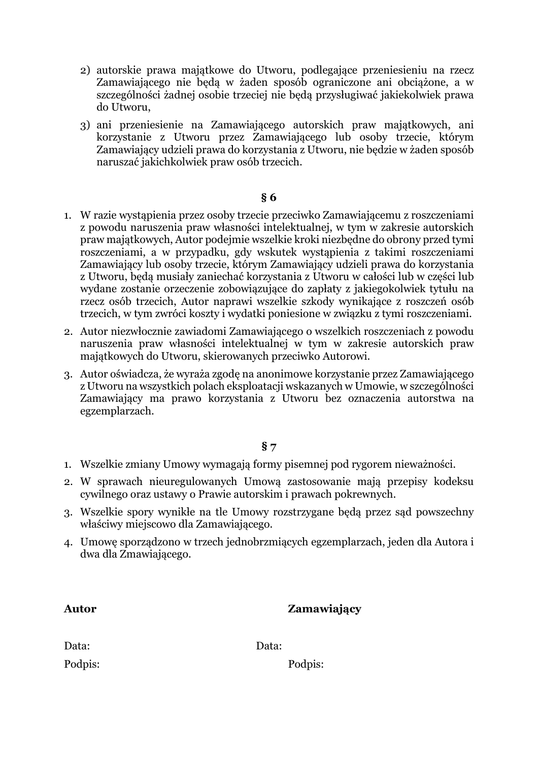- 2) autorskie prawa majątkowe do Utworu, podlegające przeniesieniu na rzecz Zamawiającego nie będą w żaden sposób ograniczone ani obciążone, a w szczególności żadnej osobie trzeciej nie będą przysługiwać jakiekolwiek prawa do Utworu,
- 3) ani przeniesienie na Zamawiającego autorskich praw majątkowych, ani korzystanie z Utworu przez Zamawiającego lub osoby trzecie, którym Zamawiający udzieli prawa do korzystania z Utworu, nie będzie w żaden sposób naruszać jakichkolwiek praw osób trzecich.

#### **§ 6**

- 1. W razie wystąpienia przez osoby trzecie przeciwko Zamawiającemu z roszczeniami z powodu naruszenia praw własności intelektualnej, w tym w zakresie autorskich praw majątkowych, Autor podejmie wszelkie kroki niezbędne do obrony przed tymi roszczeniami, a w przypadku, gdy wskutek wystąpienia z takimi roszczeniami Zamawiający lub osoby trzecie, którym Zamawiający udzieli prawa do korzystania z Utworu, będą musiały zaniechać korzystania z Utworu w całości lub w części lub wydane zostanie orzeczenie zobowiązujące do zapłaty z jakiegokolwiek tytułu na rzecz osób trzecich, Autor naprawi wszelkie szkody wynikające z roszczeń osób trzecich, w tym zwróci koszty i wydatki poniesione w związku z tymi roszczeniami.
- 2. Autor niezwłocznie zawiadomi Zamawiającego o wszelkich roszczeniach z powodu naruszenia praw własności intelektualnej w tym w zakresie autorskich praw majątkowych do Utworu, skierowanych przeciwko Autorowi.
- 3. Autor oświadcza, że wyraża zgodę na anonimowe korzystanie przez Zamawiającego z Utworu na wszystkich polach eksploatacji wskazanych w Umowie, w szczególności Zamawiający ma prawo korzystania z Utworu bez oznaczenia autorstwa na egzemplarzach.

### **§ 7**

- 1. Wszelkie zmiany Umowy wymagają formy pisemnej pod rygorem nieważności.
- 2. W sprawach nieuregulowanych Umową zastosowanie mają przepisy kodeksu cywilnego oraz ustawy o Prawie autorskim i prawach pokrewnych.
- 3. Wszelkie spory wynikłe na tle Umowy rozstrzygane będą przez sąd powszechny właściwy miejscowo dla Zamawiającego.
- 4. Umowę sporządzono w trzech jednobrzmiących egzemplarzach, jeden dla Autora i dwa dla Zmawiającego.

| <b>Autor</b> | Zamawiający |  |
|--------------|-------------|--|
| Data:        | Data:       |  |
| Podpis:      | Podpis:     |  |